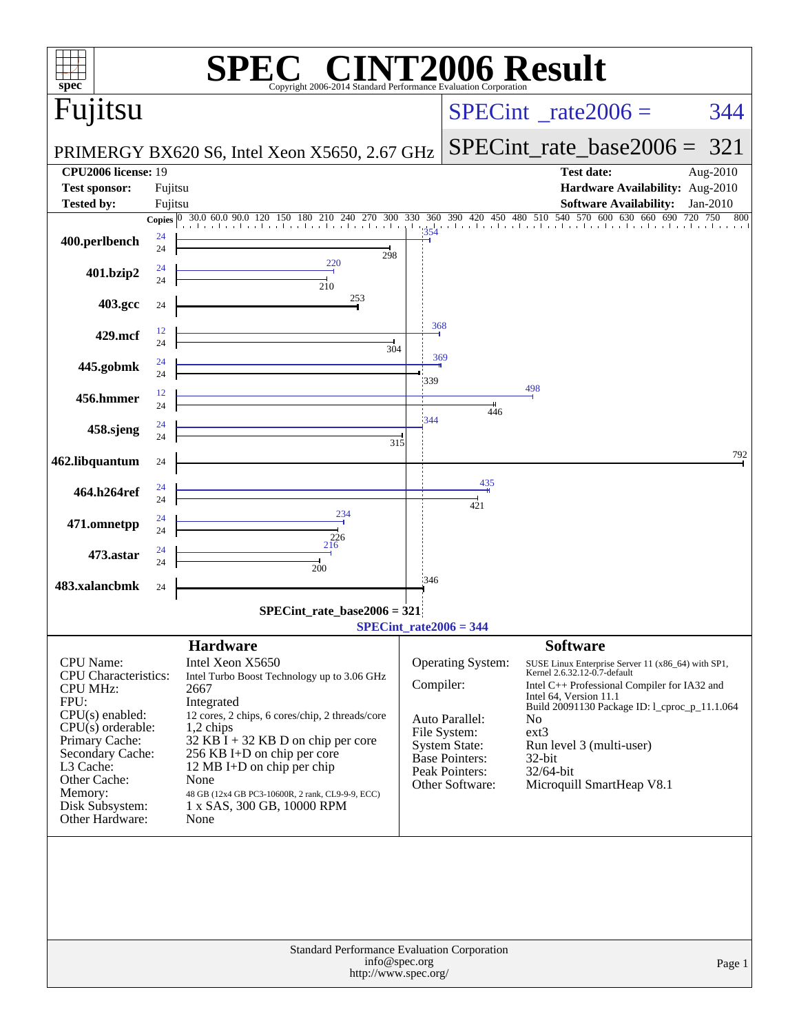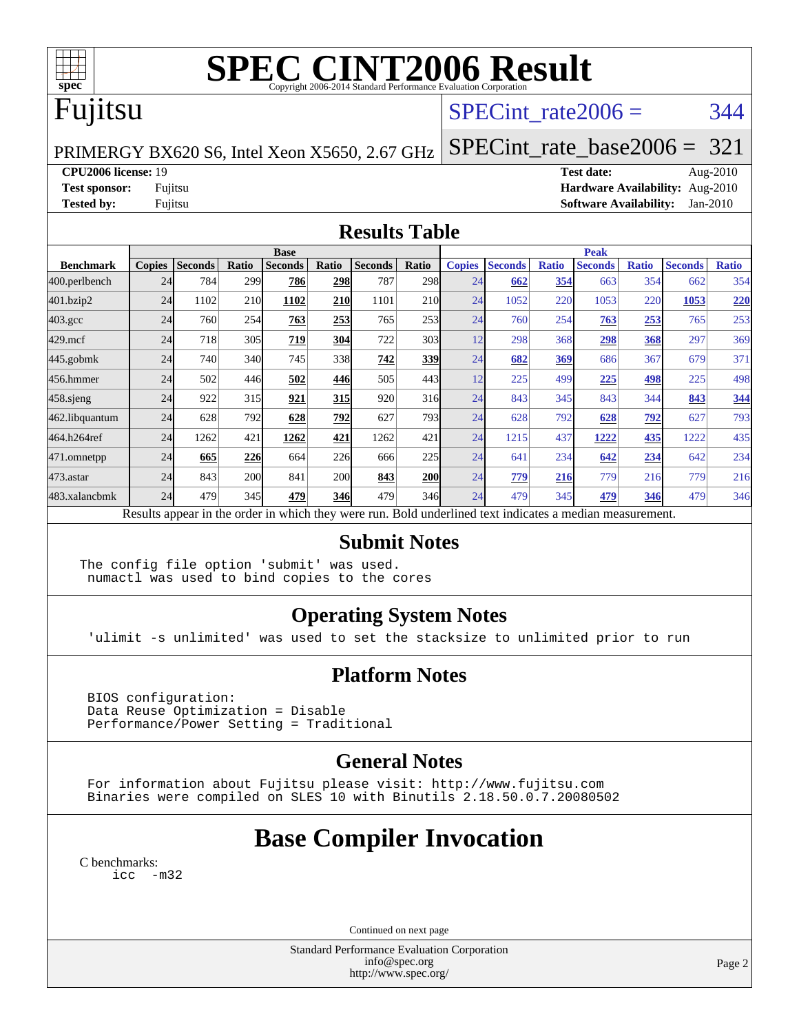

# **[SPEC CINT2006 Result](http://www.spec.org/auto/cpu2006/Docs/result-fields.html#SPECCINT2006Result)**

## Fujitsu

### SPECint rate $2006 = 344$

PRIMERGY BX620 S6, Intel Xeon X5650, 2.67 GHz

[SPECint\\_rate\\_base2006 =](http://www.spec.org/auto/cpu2006/Docs/result-fields.html#SPECintratebase2006) 321

**[CPU2006 license:](http://www.spec.org/auto/cpu2006/Docs/result-fields.html#CPU2006license)** 19 **[Test date:](http://www.spec.org/auto/cpu2006/Docs/result-fields.html#Testdate)** Aug-2010

**[Test sponsor:](http://www.spec.org/auto/cpu2006/Docs/result-fields.html#Testsponsor)** Fujitsu **[Hardware Availability:](http://www.spec.org/auto/cpu2006/Docs/result-fields.html#HardwareAvailability)** Aug-2010 **[Tested by:](http://www.spec.org/auto/cpu2006/Docs/result-fields.html#Testedby)** Fujitsu **[Software Availability:](http://www.spec.org/auto/cpu2006/Docs/result-fields.html#SoftwareAvailability)** Jan-2010

#### **[Results Table](http://www.spec.org/auto/cpu2006/Docs/result-fields.html#ResultsTable)**

|                    | <b>Base</b>                                                                                              |                |       |                |            |                |            |               | <b>Peak</b>    |              |                |              |                |              |  |
|--------------------|----------------------------------------------------------------------------------------------------------|----------------|-------|----------------|------------|----------------|------------|---------------|----------------|--------------|----------------|--------------|----------------|--------------|--|
| <b>Benchmark</b>   | <b>Copies</b>                                                                                            | <b>Seconds</b> | Ratio | <b>Seconds</b> | Ratio      | <b>Seconds</b> | Ratio      | <b>Copies</b> | <b>Seconds</b> | <b>Ratio</b> | <b>Seconds</b> | <b>Ratio</b> | <b>Seconds</b> | <b>Ratio</b> |  |
| 400.perlbench      | 24                                                                                                       | 784            | 299   | 786            | 298        | 787            | 298        | 24            | 662            | 354          | 663            | 354          | 662            | 354          |  |
| 401.bzip2          | 24                                                                                                       | 1102           | 210   | 1102           | <b>210</b> | 1101           | <b>210</b> | 24            | 1052           | 220          | 1053           | 220          | 1053           | 220          |  |
| $403.\mathrm{gcc}$ | 24                                                                                                       | 760            | 254   | 763            | 253        | 765            | 253        | 24            | 760            | 254          | 763            | 253          | 765            | 253          |  |
| $429$ .mcf         | 24                                                                                                       | 718            | 305   | 719            | 304        | 722            | 303        | 12            | 298            | 368          | 298            | 368          | 297            | 369          |  |
| $445$ .gobmk       | 24                                                                                                       | 740            | 340   | 745            | 338        | 742            | 339        | 24            | 682            | 369          | 686            | 367          | 679            | 371          |  |
| 456.hmmer          | 24                                                                                                       | 502            | 446   | 502            | 446        | 505            | 443        | 12            | 225            | 499          | 225            | 498          | 225            | 498          |  |
| $458$ .sjeng       | 24                                                                                                       | 922            | 315   | 921            | 315        | 920            | 316        | 24            | 843            | 345          | 843            | 344          | 843            | 344          |  |
| 462.libquantum     | 24                                                                                                       | 628            | 792   | 628            | 792        | 627            | 793        | 24            | 628            | 792          | 628            | <u>792</u>   | 627            | 793          |  |
| 464.h264ref        | 24                                                                                                       | 1262           | 421   | 1262           | 421        | 1262           | 421        | 24            | 1215           | 437          | 1222           | 435          | 1222           | 435          |  |
| 471.omnetpp        | 24                                                                                                       | 665            | 226   | 664            | 226        | 666            | 225        | 24            | 641            | 234          | 642            | 234          | 642            | 234          |  |
| 473.astar          | 24                                                                                                       | 843            | 200   | 841            | <b>200</b> | 843            | 200        | 24            | 779            | 216          | 779            | 216          | 779            | 216          |  |
| 483.xalancbmk      | 24                                                                                                       | 479            | 345   | 479            | <b>346</b> | 479            | 346        | 24            | 479            | 345          | 479            | 346          | 479            | 346          |  |
|                    | Results appear in the order in which they were run. Bold underlined text indicates a median measurement. |                |       |                |            |                |            |               |                |              |                |              |                |              |  |

#### **[Submit Notes](http://www.spec.org/auto/cpu2006/Docs/result-fields.html#SubmitNotes)**

The config file option 'submit' was used. numactl was used to bind copies to the cores

### **[Operating System Notes](http://www.spec.org/auto/cpu2006/Docs/result-fields.html#OperatingSystemNotes)**

'ulimit -s unlimited' was used to set the stacksize to unlimited prior to run

### **[Platform Notes](http://www.spec.org/auto/cpu2006/Docs/result-fields.html#PlatformNotes)**

 BIOS configuration: Data Reuse Optimization = Disable Performance/Power Setting = Traditional

### **[General Notes](http://www.spec.org/auto/cpu2006/Docs/result-fields.html#GeneralNotes)**

 For information about Fujitsu please visit: <http://www.fujitsu.com> Binaries were compiled on SLES 10 with Binutils 2.18.50.0.7.20080502

## **[Base Compiler Invocation](http://www.spec.org/auto/cpu2006/Docs/result-fields.html#BaseCompilerInvocation)**

[C benchmarks](http://www.spec.org/auto/cpu2006/Docs/result-fields.html#Cbenchmarks): [icc -m32](http://www.spec.org/cpu2006/results/res2010q3/cpu2006-20100913-13204.flags.html#user_CCbase_intel_icc_32bit_5ff4a39e364c98233615fdd38438c6f2)

Continued on next page

Standard Performance Evaluation Corporation [info@spec.org](mailto:info@spec.org) <http://www.spec.org/>

Page 2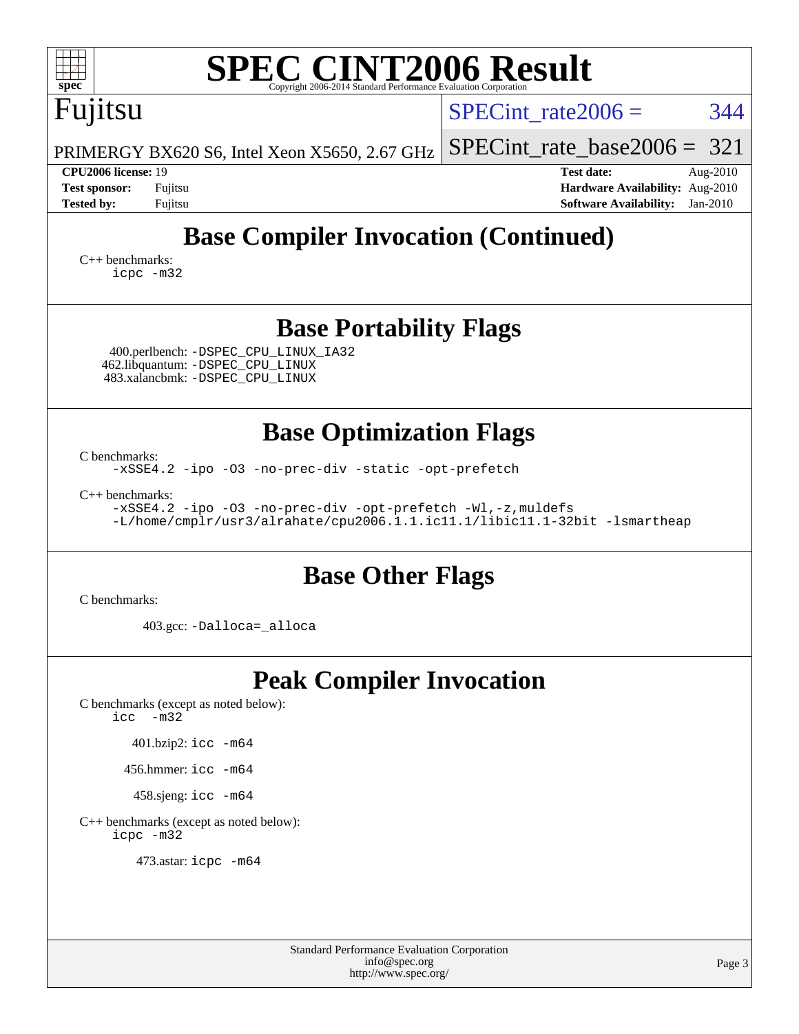| <b>SPEC CINT2006 Result</b><br>spec <sup>®</sup><br>Copyright 2006-2014 Standard Performance Evaluation Corporation                                                                                                                                                           |                                                                                                               |  |  |  |  |  |  |  |
|-------------------------------------------------------------------------------------------------------------------------------------------------------------------------------------------------------------------------------------------------------------------------------|---------------------------------------------------------------------------------------------------------------|--|--|--|--|--|--|--|
| Fujitsu                                                                                                                                                                                                                                                                       | 344<br>$SPECint rate 2006 =$                                                                                  |  |  |  |  |  |  |  |
| PRIMERGY BX620 S6, Intel Xeon X5650, 2.67 GHz                                                                                                                                                                                                                                 | $SPECint_rate_base2006 =$<br>321                                                                              |  |  |  |  |  |  |  |
| <b>CPU2006 license: 19</b><br><b>Test sponsor:</b><br>Fujitsu<br><b>Tested by:</b><br>Fujitsu                                                                                                                                                                                 | <b>Test date:</b><br>Aug-2010<br>Hardware Availability: Aug-2010<br><b>Software Availability:</b><br>Jan-2010 |  |  |  |  |  |  |  |
| <b>Base Compiler Invocation (Continued)</b><br>$C_{++}$ benchmarks:<br>icpc -m32                                                                                                                                                                                              |                                                                                                               |  |  |  |  |  |  |  |
| <b>Base Portability Flags</b><br>400.perlbench: -DSPEC_CPU_LINUX_IA32<br>462.libquantum: -DSPEC_CPU_LINUX<br>483.xalancbmk: - DSPEC CPU LINUX                                                                                                                                 |                                                                                                               |  |  |  |  |  |  |  |
| <b>Base Optimization Flags</b><br>C benchmarks:<br>-xSSE4.2 -ipo -03 -no-prec-div -static -opt-prefetch<br>$C_{++}$ benchmarks:<br>-xSSE4.2 -ipo -03 -no-prec-div -opt-prefetch -Wl,-z, muldefs<br>-L/home/cmplr/usr3/alrahate/cpu2006.1.1.ic11.1/libic11.1-32bit -lsmartheap |                                                                                                               |  |  |  |  |  |  |  |
| <b>Base Other Flags</b><br>C benchmarks:                                                                                                                                                                                                                                      |                                                                                                               |  |  |  |  |  |  |  |
| 403.gcc: -Dalloca=_alloca                                                                                                                                                                                                                                                     |                                                                                                               |  |  |  |  |  |  |  |
| <b>Peak Compiler Invocation</b><br>C benchmarks (except as noted below):<br>$-m32$<br>icc<br>$401.bzip2:$ icc $-m64$<br>456.hmmer: icc -m64<br>458.sjeng: icc -m64<br>C++ benchmarks (except as noted below):<br>icpc -m32<br>473.astar: icpc -m64                            |                                                                                                               |  |  |  |  |  |  |  |

Standard Performance Evaluation Corporation [info@spec.org](mailto:info@spec.org) <http://www.spec.org/>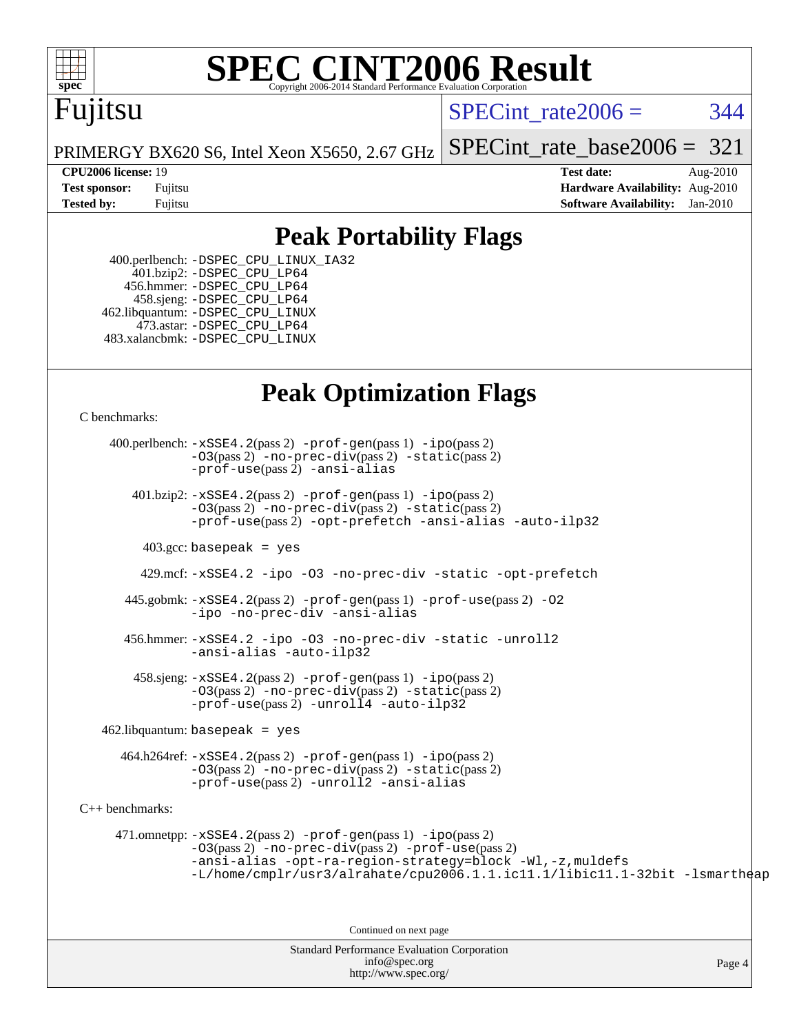

# **[SPEC CINT2006 Result](http://www.spec.org/auto/cpu2006/Docs/result-fields.html#SPECCINT2006Result)**

## Fujitsu

SPECint rate $2006 = 344$ 

[SPECint\\_rate\\_base2006 =](http://www.spec.org/auto/cpu2006/Docs/result-fields.html#SPECintratebase2006) 321

PRIMERGY BX620 S6, Intel Xeon X5650, 2.67 GHz

**[CPU2006 license:](http://www.spec.org/auto/cpu2006/Docs/result-fields.html#CPU2006license)** 19 **[Test date:](http://www.spec.org/auto/cpu2006/Docs/result-fields.html#Testdate)** Aug-2010 **[Test sponsor:](http://www.spec.org/auto/cpu2006/Docs/result-fields.html#Testsponsor)** Fujitsu **[Hardware Availability:](http://www.spec.org/auto/cpu2006/Docs/result-fields.html#HardwareAvailability)** Aug-2010 **[Tested by:](http://www.spec.org/auto/cpu2006/Docs/result-fields.html#Testedby)** Fujitsu **[Software Availability:](http://www.spec.org/auto/cpu2006/Docs/result-fields.html#SoftwareAvailability)** Jan-2010

### **[Peak Portability Flags](http://www.spec.org/auto/cpu2006/Docs/result-fields.html#PeakPortabilityFlags)**

 400.perlbench: [-DSPEC\\_CPU\\_LINUX\\_IA32](http://www.spec.org/cpu2006/results/res2010q3/cpu2006-20100913-13204.flags.html#b400.perlbench_peakCPORTABILITY_DSPEC_CPU_LINUX_IA32) 401.bzip2: [-DSPEC\\_CPU\\_LP64](http://www.spec.org/cpu2006/results/res2010q3/cpu2006-20100913-13204.flags.html#suite_peakCPORTABILITY401_bzip2_DSPEC_CPU_LP64) 456.hmmer: [-DSPEC\\_CPU\\_LP64](http://www.spec.org/cpu2006/results/res2010q3/cpu2006-20100913-13204.flags.html#suite_peakCPORTABILITY456_hmmer_DSPEC_CPU_LP64) 458.sjeng: [-DSPEC\\_CPU\\_LP64](http://www.spec.org/cpu2006/results/res2010q3/cpu2006-20100913-13204.flags.html#suite_peakCPORTABILITY458_sjeng_DSPEC_CPU_LP64) 462.libquantum: [-DSPEC\\_CPU\\_LINUX](http://www.spec.org/cpu2006/results/res2010q3/cpu2006-20100913-13204.flags.html#b462.libquantum_peakCPORTABILITY_DSPEC_CPU_LINUX) 473.astar: [-DSPEC\\_CPU\\_LP64](http://www.spec.org/cpu2006/results/res2010q3/cpu2006-20100913-13204.flags.html#suite_peakCXXPORTABILITY473_astar_DSPEC_CPU_LP64) 483.xalancbmk: [-DSPEC\\_CPU\\_LINUX](http://www.spec.org/cpu2006/results/res2010q3/cpu2006-20100913-13204.flags.html#b483.xalancbmk_peakCXXPORTABILITY_DSPEC_CPU_LINUX)

### **[Peak Optimization Flags](http://www.spec.org/auto/cpu2006/Docs/result-fields.html#PeakOptimizationFlags)**

[C benchmarks](http://www.spec.org/auto/cpu2006/Docs/result-fields.html#Cbenchmarks):

Standard Performance Evaluation Corporation 400.perlbench: [-xSSE4.2](http://www.spec.org/cpu2006/results/res2010q3/cpu2006-20100913-13204.flags.html#user_peakPASS2_CFLAGSPASS2_LDCFLAGS400_perlbench_f-xSSE42_f91528193cf0b216347adb8b939d4107)(pass 2) [-prof-gen](http://www.spec.org/cpu2006/results/res2010q3/cpu2006-20100913-13204.flags.html#user_peakPASS1_CFLAGSPASS1_LDCFLAGS400_perlbench_prof_gen_e43856698f6ca7b7e442dfd80e94a8fc)(pass 1) [-ipo](http://www.spec.org/cpu2006/results/res2010q3/cpu2006-20100913-13204.flags.html#user_peakPASS2_CFLAGSPASS2_LDCFLAGS400_perlbench_f-ipo)(pass 2) [-O3](http://www.spec.org/cpu2006/results/res2010q3/cpu2006-20100913-13204.flags.html#user_peakPASS2_CFLAGSPASS2_LDCFLAGS400_perlbench_f-O3)(pass 2) [-no-prec-div](http://www.spec.org/cpu2006/results/res2010q3/cpu2006-20100913-13204.flags.html#user_peakPASS2_CFLAGSPASS2_LDCFLAGS400_perlbench_f-no-prec-div)(pass 2) [-static](http://www.spec.org/cpu2006/results/res2010q3/cpu2006-20100913-13204.flags.html#user_peakPASS2_CFLAGSPASS2_LDCFLAGS400_perlbench_f-static)(pass 2) [-prof-use](http://www.spec.org/cpu2006/results/res2010q3/cpu2006-20100913-13204.flags.html#user_peakPASS2_CFLAGSPASS2_LDCFLAGS400_perlbench_prof_use_bccf7792157ff70d64e32fe3e1250b55)(pass 2) [-ansi-alias](http://www.spec.org/cpu2006/results/res2010q3/cpu2006-20100913-13204.flags.html#user_peakCOPTIMIZE400_perlbench_f-ansi-alias) 401.bzip2: [-xSSE4.2](http://www.spec.org/cpu2006/results/res2010q3/cpu2006-20100913-13204.flags.html#user_peakPASS2_CFLAGSPASS2_LDCFLAGS401_bzip2_f-xSSE42_f91528193cf0b216347adb8b939d4107)(pass 2) [-prof-gen](http://www.spec.org/cpu2006/results/res2010q3/cpu2006-20100913-13204.flags.html#user_peakPASS1_CFLAGSPASS1_LDCFLAGS401_bzip2_prof_gen_e43856698f6ca7b7e442dfd80e94a8fc)(pass 1) [-ipo](http://www.spec.org/cpu2006/results/res2010q3/cpu2006-20100913-13204.flags.html#user_peakPASS2_CFLAGSPASS2_LDCFLAGS401_bzip2_f-ipo)(pass 2) [-O3](http://www.spec.org/cpu2006/results/res2010q3/cpu2006-20100913-13204.flags.html#user_peakPASS2_CFLAGSPASS2_LDCFLAGS401_bzip2_f-O3)(pass 2) [-no-prec-div](http://www.spec.org/cpu2006/results/res2010q3/cpu2006-20100913-13204.flags.html#user_peakPASS2_CFLAGSPASS2_LDCFLAGS401_bzip2_f-no-prec-div)(pass 2) [-static](http://www.spec.org/cpu2006/results/res2010q3/cpu2006-20100913-13204.flags.html#user_peakPASS2_CFLAGSPASS2_LDCFLAGS401_bzip2_f-static)(pass 2) [-prof-use](http://www.spec.org/cpu2006/results/res2010q3/cpu2006-20100913-13204.flags.html#user_peakPASS2_CFLAGSPASS2_LDCFLAGS401_bzip2_prof_use_bccf7792157ff70d64e32fe3e1250b55)(pass 2) [-opt-prefetch](http://www.spec.org/cpu2006/results/res2010q3/cpu2006-20100913-13204.flags.html#user_peakCOPTIMIZE401_bzip2_f-opt-prefetch) [-ansi-alias](http://www.spec.org/cpu2006/results/res2010q3/cpu2006-20100913-13204.flags.html#user_peakCOPTIMIZE401_bzip2_f-ansi-alias) [-auto-ilp32](http://www.spec.org/cpu2006/results/res2010q3/cpu2006-20100913-13204.flags.html#user_peakCOPTIMIZE401_bzip2_f-auto-ilp32)  $403.\text{gcc: basepeak}$  = yes 429.mcf: [-xSSE4.2](http://www.spec.org/cpu2006/results/res2010q3/cpu2006-20100913-13204.flags.html#user_peakCOPTIMIZE429_mcf_f-xSSE42_f91528193cf0b216347adb8b939d4107) [-ipo](http://www.spec.org/cpu2006/results/res2010q3/cpu2006-20100913-13204.flags.html#user_peakCOPTIMIZE429_mcf_f-ipo) [-O3](http://www.spec.org/cpu2006/results/res2010q3/cpu2006-20100913-13204.flags.html#user_peakCOPTIMIZE429_mcf_f-O3) [-no-prec-div](http://www.spec.org/cpu2006/results/res2010q3/cpu2006-20100913-13204.flags.html#user_peakCOPTIMIZE429_mcf_f-no-prec-div) [-static](http://www.spec.org/cpu2006/results/res2010q3/cpu2006-20100913-13204.flags.html#user_peakCOPTIMIZE429_mcf_f-static) [-opt-prefetch](http://www.spec.org/cpu2006/results/res2010q3/cpu2006-20100913-13204.flags.html#user_peakCOPTIMIZE429_mcf_f-opt-prefetch) 445.gobmk: [-xSSE4.2](http://www.spec.org/cpu2006/results/res2010q3/cpu2006-20100913-13204.flags.html#user_peakPASS2_CFLAGSPASS2_LDCFLAGS445_gobmk_f-xSSE42_f91528193cf0b216347adb8b939d4107)(pass 2) [-prof-gen](http://www.spec.org/cpu2006/results/res2010q3/cpu2006-20100913-13204.flags.html#user_peakPASS1_CFLAGSPASS1_LDCFLAGS445_gobmk_prof_gen_e43856698f6ca7b7e442dfd80e94a8fc)(pass 1) [-prof-use](http://www.spec.org/cpu2006/results/res2010q3/cpu2006-20100913-13204.flags.html#user_peakPASS2_CFLAGSPASS2_LDCFLAGS445_gobmk_prof_use_bccf7792157ff70d64e32fe3e1250b55)(pass 2) [-O2](http://www.spec.org/cpu2006/results/res2010q3/cpu2006-20100913-13204.flags.html#user_peakCOPTIMIZE445_gobmk_f-O2) [-ipo](http://www.spec.org/cpu2006/results/res2010q3/cpu2006-20100913-13204.flags.html#user_peakCOPTIMIZE445_gobmk_f-ipo) [-no-prec-div](http://www.spec.org/cpu2006/results/res2010q3/cpu2006-20100913-13204.flags.html#user_peakCOPTIMIZE445_gobmk_f-no-prec-div) [-ansi-alias](http://www.spec.org/cpu2006/results/res2010q3/cpu2006-20100913-13204.flags.html#user_peakCOPTIMIZE445_gobmk_f-ansi-alias) 456.hmmer: [-xSSE4.2](http://www.spec.org/cpu2006/results/res2010q3/cpu2006-20100913-13204.flags.html#user_peakCOPTIMIZE456_hmmer_f-xSSE42_f91528193cf0b216347adb8b939d4107) [-ipo](http://www.spec.org/cpu2006/results/res2010q3/cpu2006-20100913-13204.flags.html#user_peakCOPTIMIZE456_hmmer_f-ipo) [-O3](http://www.spec.org/cpu2006/results/res2010q3/cpu2006-20100913-13204.flags.html#user_peakCOPTIMIZE456_hmmer_f-O3) [-no-prec-div](http://www.spec.org/cpu2006/results/res2010q3/cpu2006-20100913-13204.flags.html#user_peakCOPTIMIZE456_hmmer_f-no-prec-div) [-static](http://www.spec.org/cpu2006/results/res2010q3/cpu2006-20100913-13204.flags.html#user_peakCOPTIMIZE456_hmmer_f-static) [-unroll2](http://www.spec.org/cpu2006/results/res2010q3/cpu2006-20100913-13204.flags.html#user_peakCOPTIMIZE456_hmmer_f-unroll_784dae83bebfb236979b41d2422d7ec2) [-ansi-alias](http://www.spec.org/cpu2006/results/res2010q3/cpu2006-20100913-13204.flags.html#user_peakCOPTIMIZE456_hmmer_f-ansi-alias) [-auto-ilp32](http://www.spec.org/cpu2006/results/res2010q3/cpu2006-20100913-13204.flags.html#user_peakCOPTIMIZE456_hmmer_f-auto-ilp32)  $458 \text{.}$  sjeng:  $-xSSE4$ .  $2(\text{pass 2})$  -prof-qen(pass 1) [-ipo](http://www.spec.org/cpu2006/results/res2010q3/cpu2006-20100913-13204.flags.html#user_peakPASS2_CFLAGSPASS2_LDCFLAGS458_sjeng_f-ipo)(pass 2) [-O3](http://www.spec.org/cpu2006/results/res2010q3/cpu2006-20100913-13204.flags.html#user_peakPASS2_CFLAGSPASS2_LDCFLAGS458_sjeng_f-O3)(pass 2) [-no-prec-div](http://www.spec.org/cpu2006/results/res2010q3/cpu2006-20100913-13204.flags.html#user_peakPASS2_CFLAGSPASS2_LDCFLAGS458_sjeng_f-no-prec-div)(pass 2) [-static](http://www.spec.org/cpu2006/results/res2010q3/cpu2006-20100913-13204.flags.html#user_peakPASS2_CFLAGSPASS2_LDCFLAGS458_sjeng_f-static)(pass 2) [-prof-use](http://www.spec.org/cpu2006/results/res2010q3/cpu2006-20100913-13204.flags.html#user_peakPASS2_CFLAGSPASS2_LDCFLAGS458_sjeng_prof_use_bccf7792157ff70d64e32fe3e1250b55)(pass 2) [-unroll4](http://www.spec.org/cpu2006/results/res2010q3/cpu2006-20100913-13204.flags.html#user_peakCOPTIMIZE458_sjeng_f-unroll_4e5e4ed65b7fd20bdcd365bec371b81f) [-auto-ilp32](http://www.spec.org/cpu2006/results/res2010q3/cpu2006-20100913-13204.flags.html#user_peakCOPTIMIZE458_sjeng_f-auto-ilp32)  $462$ .libquantum: basepeak = yes 464.h264ref: [-xSSE4.2](http://www.spec.org/cpu2006/results/res2010q3/cpu2006-20100913-13204.flags.html#user_peakPASS2_CFLAGSPASS2_LDCFLAGS464_h264ref_f-xSSE42_f91528193cf0b216347adb8b939d4107)(pass 2) [-prof-gen](http://www.spec.org/cpu2006/results/res2010q3/cpu2006-20100913-13204.flags.html#user_peakPASS1_CFLAGSPASS1_LDCFLAGS464_h264ref_prof_gen_e43856698f6ca7b7e442dfd80e94a8fc)(pass 1) [-ipo](http://www.spec.org/cpu2006/results/res2010q3/cpu2006-20100913-13204.flags.html#user_peakPASS2_CFLAGSPASS2_LDCFLAGS464_h264ref_f-ipo)(pass 2) [-O3](http://www.spec.org/cpu2006/results/res2010q3/cpu2006-20100913-13204.flags.html#user_peakPASS2_CFLAGSPASS2_LDCFLAGS464_h264ref_f-O3)(pass 2) [-no-prec-div](http://www.spec.org/cpu2006/results/res2010q3/cpu2006-20100913-13204.flags.html#user_peakPASS2_CFLAGSPASS2_LDCFLAGS464_h264ref_f-no-prec-div)(pass 2) [-static](http://www.spec.org/cpu2006/results/res2010q3/cpu2006-20100913-13204.flags.html#user_peakPASS2_CFLAGSPASS2_LDCFLAGS464_h264ref_f-static)(pass 2) [-prof-use](http://www.spec.org/cpu2006/results/res2010q3/cpu2006-20100913-13204.flags.html#user_peakPASS2_CFLAGSPASS2_LDCFLAGS464_h264ref_prof_use_bccf7792157ff70d64e32fe3e1250b55)(pass 2) [-unroll2](http://www.spec.org/cpu2006/results/res2010q3/cpu2006-20100913-13204.flags.html#user_peakCOPTIMIZE464_h264ref_f-unroll_784dae83bebfb236979b41d2422d7ec2) [-ansi-alias](http://www.spec.org/cpu2006/results/res2010q3/cpu2006-20100913-13204.flags.html#user_peakCOPTIMIZE464_h264ref_f-ansi-alias) [C++ benchmarks:](http://www.spec.org/auto/cpu2006/Docs/result-fields.html#CXXbenchmarks) 471.omnetpp: [-xSSE4.2](http://www.spec.org/cpu2006/results/res2010q3/cpu2006-20100913-13204.flags.html#user_peakPASS2_CXXFLAGSPASS2_LDCXXFLAGS471_omnetpp_f-xSSE42_f91528193cf0b216347adb8b939d4107)(pass 2) [-prof-gen](http://www.spec.org/cpu2006/results/res2010q3/cpu2006-20100913-13204.flags.html#user_peakPASS1_CXXFLAGSPASS1_LDCXXFLAGS471_omnetpp_prof_gen_e43856698f6ca7b7e442dfd80e94a8fc)(pass 1) [-ipo](http://www.spec.org/cpu2006/results/res2010q3/cpu2006-20100913-13204.flags.html#user_peakPASS2_CXXFLAGSPASS2_LDCXXFLAGS471_omnetpp_f-ipo)(pass 2) [-O3](http://www.spec.org/cpu2006/results/res2010q3/cpu2006-20100913-13204.flags.html#user_peakPASS2_CXXFLAGSPASS2_LDCXXFLAGS471_omnetpp_f-O3)(pass 2) [-no-prec-div](http://www.spec.org/cpu2006/results/res2010q3/cpu2006-20100913-13204.flags.html#user_peakPASS2_CXXFLAGSPASS2_LDCXXFLAGS471_omnetpp_f-no-prec-div)(pass 2) [-prof-use](http://www.spec.org/cpu2006/results/res2010q3/cpu2006-20100913-13204.flags.html#user_peakPASS2_CXXFLAGSPASS2_LDCXXFLAGS471_omnetpp_prof_use_bccf7792157ff70d64e32fe3e1250b55)(pass 2) [-ansi-alias](http://www.spec.org/cpu2006/results/res2010q3/cpu2006-20100913-13204.flags.html#user_peakCXXOPTIMIZE471_omnetpp_f-ansi-alias) [-opt-ra-region-strategy=block](http://www.spec.org/cpu2006/results/res2010q3/cpu2006-20100913-13204.flags.html#user_peakCXXOPTIMIZE471_omnetpp_f-opt-ra-region-strategy-block_a0a37c372d03933b2a18d4af463c1f69) [-Wl,-z,muldefs](http://www.spec.org/cpu2006/results/res2010q3/cpu2006-20100913-13204.flags.html#user_peakEXTRA_LDFLAGS471_omnetpp_link_force_multiple1_74079c344b956b9658436fd1b6dd3a8a) [-L/home/cmplr/usr3/alrahate/cpu2006.1.1.ic11.1/libic11.1-32bit -lsmartheap](http://www.spec.org/cpu2006/results/res2010q3/cpu2006-20100913-13204.flags.html#user_peakEXTRA_LIBS471_omnetpp_SmartHeap_d86dffe4a79b79ef8890d5cce17030c3) Continued on next page

[info@spec.org](mailto:info@spec.org) <http://www.spec.org/>